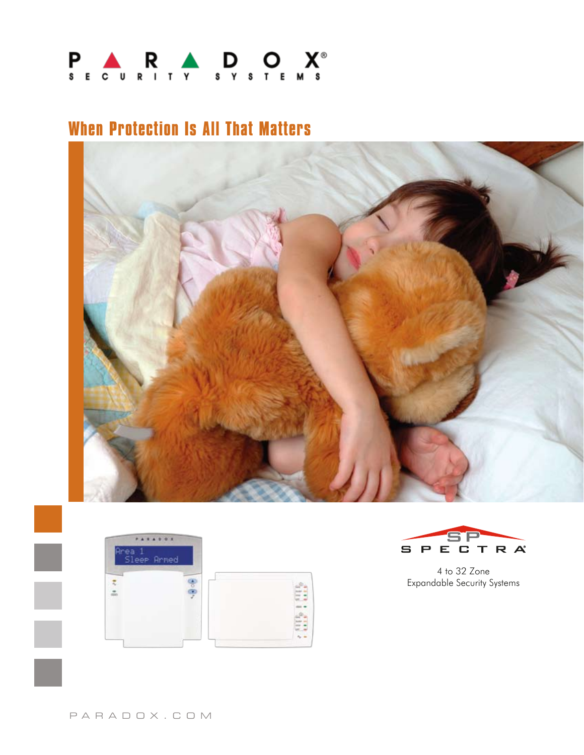

## **When Protection Is All That Matters**







4 to 32 Zone Expandable Security Systems